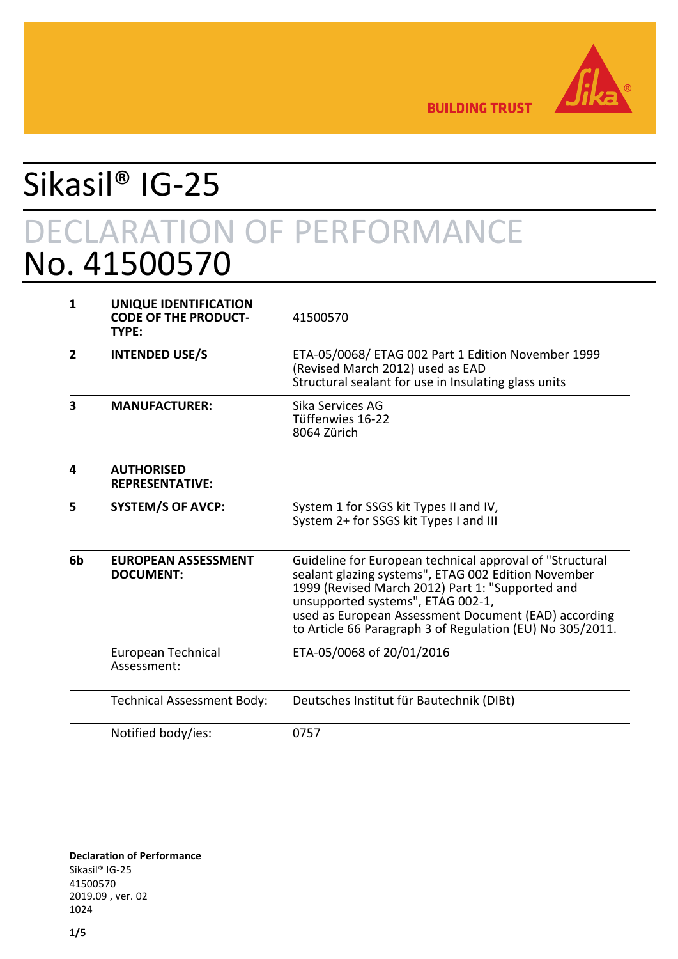

**BUILDING TRUST** 

# Sikasil® IG-25 DECLARATION OF PERFORMANCE No. 41500570

| 1              | UNIQUE IDENTIFICATION<br><b>CODE OF THE PRODUCT-</b><br>TYPE: | 41500570                                                                                                                                                                                                                                                                                                                      |
|----------------|---------------------------------------------------------------|-------------------------------------------------------------------------------------------------------------------------------------------------------------------------------------------------------------------------------------------------------------------------------------------------------------------------------|
| $\overline{2}$ | <b>INTENDED USE/S</b>                                         | ETA-05/0068/ ETAG 002 Part 1 Edition November 1999<br>(Revised March 2012) used as EAD<br>Structural sealant for use in Insulating glass units                                                                                                                                                                                |
| 3              | <b>MANUFACTURER:</b>                                          | Sika Services AG<br>Tüffenwies 16-22<br>8064 Zürich                                                                                                                                                                                                                                                                           |
| 4              | <b>AUTHORISED</b><br><b>REPRESENTATIVE:</b>                   |                                                                                                                                                                                                                                                                                                                               |
| 5              | <b>SYSTEM/S OF AVCP:</b>                                      | System 1 for SSGS kit Types II and IV,<br>System 2+ for SSGS kit Types I and III                                                                                                                                                                                                                                              |
| 6b             | <b>EUROPEAN ASSESSMENT</b><br><b>DOCUMENT:</b>                | Guideline for European technical approval of "Structural<br>sealant glazing systems", ETAG 002 Edition November<br>1999 (Revised March 2012) Part 1: "Supported and<br>unsupported systems", ETAG 002-1,<br>used as European Assessment Document (EAD) according<br>to Article 66 Paragraph 3 of Regulation (EU) No 305/2011. |
|                | European Technical<br>Assessment:                             | ETA-05/0068 of 20/01/2016                                                                                                                                                                                                                                                                                                     |
|                | <b>Technical Assessment Body:</b>                             | Deutsches Institut für Bautechnik (DIBt)                                                                                                                                                                                                                                                                                      |
|                | Notified body/ies:                                            | 0757                                                                                                                                                                                                                                                                                                                          |

**Declaration of Performance** Sikasil® IG-25 41500570 2019.09 , ver. 02 1024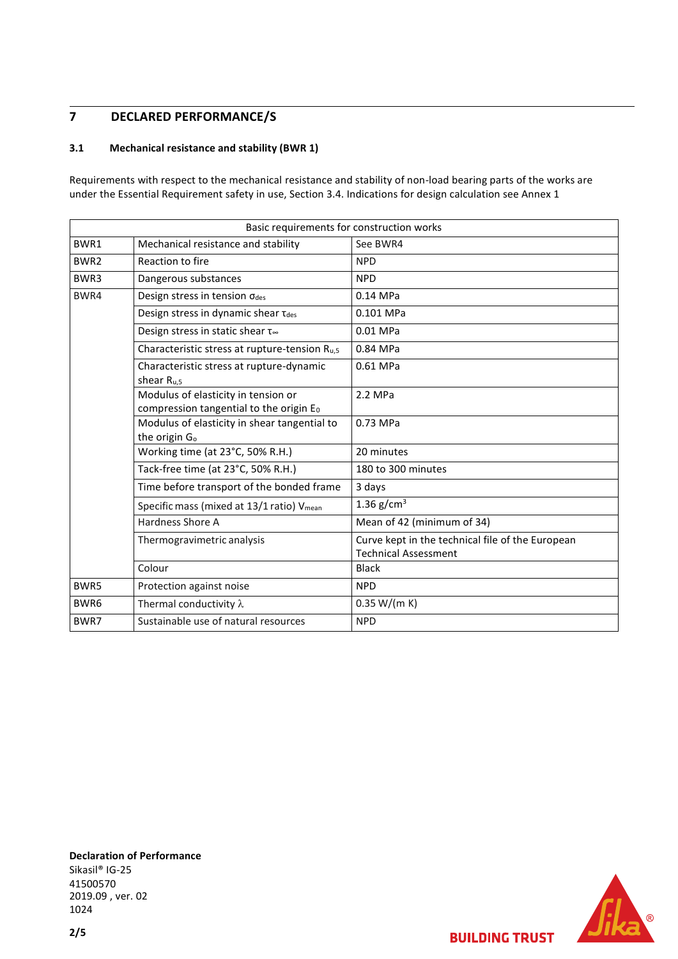### **7 DECLARED PERFORMANCE/S**

#### **3.1 Mechanical resistance and stability (BWR 1)**

Requirements with respect to the mechanical resistance and stability of non-load bearing parts of the works are under the Essential Requirement safety in use, Section 3.4. Indications for design calculation see Annex 1

| Basic requirements for construction works |                                                                                |                                                                                 |  |
|-------------------------------------------|--------------------------------------------------------------------------------|---------------------------------------------------------------------------------|--|
| BWR1                                      | Mechanical resistance and stability                                            | See BWR4                                                                        |  |
| BWR2                                      | Reaction to fire                                                               | <b>NPD</b>                                                                      |  |
| BWR3                                      | Dangerous substances                                                           | <b>NPD</b>                                                                      |  |
| BWR4                                      | Design stress in tension odes                                                  | $0.14$ MPa                                                                      |  |
|                                           | Design stress in dynamic shear Tdes                                            | 0.101 MPa                                                                       |  |
|                                           | Design stress in static shear t∞                                               | 0.01 MPa                                                                        |  |
|                                           | Characteristic stress at rupture-tension R <sub>u,5</sub>                      | 0.84 MPa                                                                        |  |
|                                           | Characteristic stress at rupture-dynamic<br>shear $R_{u,5}$                    | 0.61 MPa                                                                        |  |
|                                           | Modulus of elasticity in tension or<br>compression tangential to the origin Eo | 2.2 MPa                                                                         |  |
|                                           | Modulus of elasticity in shear tangential to<br>the origin G <sub>o</sub>      | 0.73 MPa                                                                        |  |
|                                           | Working time (at 23°C, 50% R.H.)                                               | 20 minutes                                                                      |  |
|                                           | Tack-free time (at 23°C, 50% R.H.)                                             | 180 to 300 minutes                                                              |  |
|                                           | Time before transport of the bonded frame                                      | 3 days                                                                          |  |
|                                           | Specific mass (mixed at 13/1 ratio) Vmean                                      | 1.36 $g/cm3$                                                                    |  |
|                                           | Hardness Shore A                                                               | Mean of 42 (minimum of 34)                                                      |  |
|                                           | Thermogravimetric analysis                                                     | Curve kept in the technical file of the European<br><b>Technical Assessment</b> |  |
|                                           | Colour                                                                         | <b>Black</b>                                                                    |  |
| BWR5                                      | Protection against noise                                                       | <b>NPD</b>                                                                      |  |
| BWR6                                      | Thermal conductivity $\lambda$                                                 | 0.35 W/(m K)                                                                    |  |
| BWR7                                      | Sustainable use of natural resources                                           | <b>NPD</b>                                                                      |  |

**Declaration of Performance** Sikasil® IG-25 41500570 2019.09 , ver. 02 1024



**BUILDING TRUST**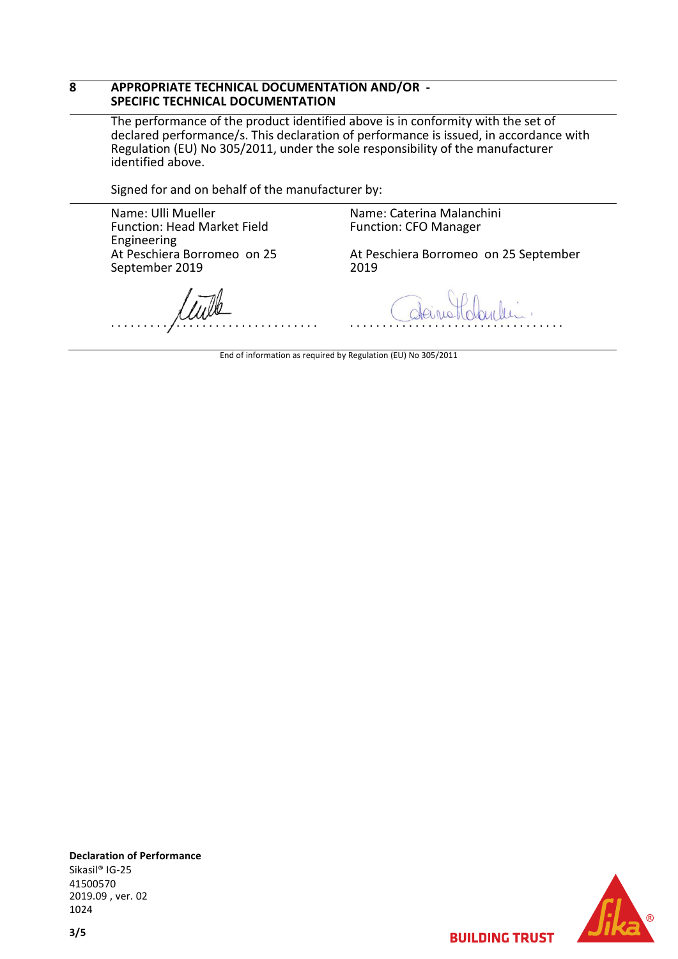#### **8 APPROPRIATE TECHNICAL DOCUMENTATION AND/OR - SPECIFIC TECHNICAL DOCUMENTATION**

The performance of the product identified above is in conformity with the set of declared performance/s. This declaration of performance is issued, in accordance with Regulation (EU) No 305/2011, under the sole responsibility of the manufacturer identified above.

Signed for and on behalf of the manufacturer by:

Name: Ulli Mueller Function: Head Market Field Engineering At Peschiera Borromeo on 25 September 2019

Name: Caterina Malanchini Function: CFO Manager

At Peschiera Borromeo on 25 September 2019

. . . . . . . . . . . . . . . . . . . . . . . . . . . . . . . .

. . . . . . . . . . . . . . . . . . . . . . . . . . . . . . . . .

End of information as required by Regulation (EU) No 305/2011

**Declaration of Performance** Sikasil® IG-25 41500570 2019.09 , ver. 02 1024



**BUILDING TRUST**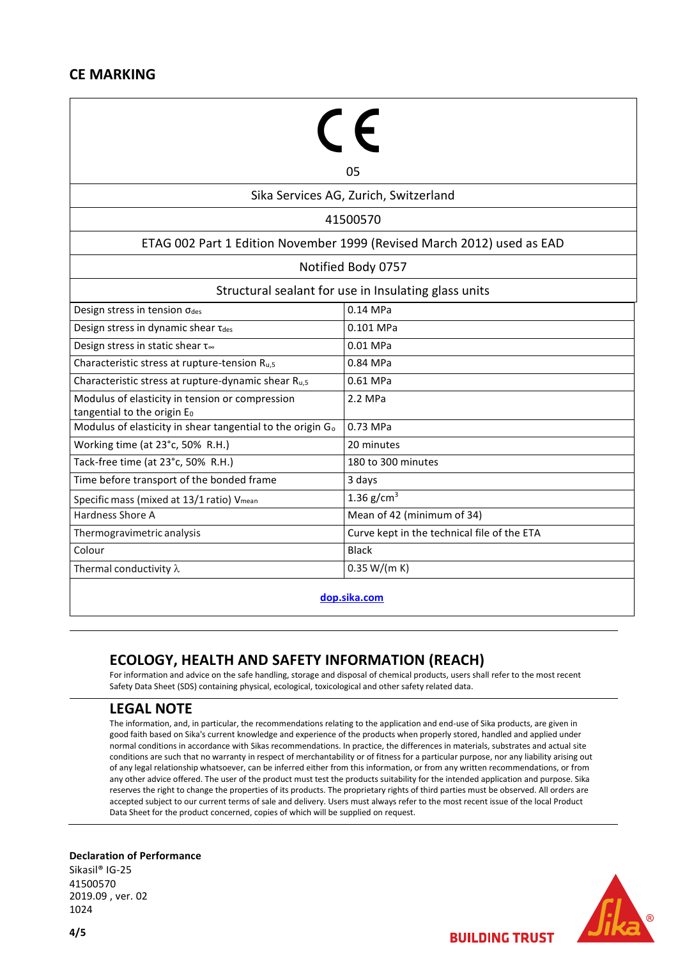## **CE MARKING**

|                                                                                | 05                                          |  |  |  |
|--------------------------------------------------------------------------------|---------------------------------------------|--|--|--|
| Sika Services AG, Zurich, Switzerland                                          |                                             |  |  |  |
| 41500570                                                                       |                                             |  |  |  |
| ETAG 002 Part 1 Edition November 1999 (Revised March 2012) used as EAD         |                                             |  |  |  |
| Notified Body 0757                                                             |                                             |  |  |  |
| Structural sealant for use in Insulating glass units                           |                                             |  |  |  |
| Design stress in tension odes                                                  | 0.14 MPa                                    |  |  |  |
| Design stress in dynamic shear Tdes                                            | 0.101 MPa                                   |  |  |  |
| Design stress in static shear t∞                                               | 0.01 MPa                                    |  |  |  |
| Characteristic stress at rupture-tension R <sub>u,5</sub>                      | 0.84 MPa                                    |  |  |  |
| Characteristic stress at rupture-dynamic shear R <sub>u,5</sub>                | 0.61 MPa                                    |  |  |  |
| Modulus of elasticity in tension or compression<br>tangential to the origin Eo | 2.2 MPa                                     |  |  |  |
| Modulus of elasticity in shear tangential to the origin G <sub>o</sub>         | 0.73 MPa                                    |  |  |  |
| Working time (at 23°c, 50% R.H.)                                               | 20 minutes                                  |  |  |  |
| Tack-free time (at 23°c, 50% R.H.)                                             | 180 to 300 minutes                          |  |  |  |
| Time before transport of the bonded frame                                      | 3 days                                      |  |  |  |
| Specific mass (mixed at 13/1 ratio) Vmean                                      | 1.36 $g/cm^{3}$                             |  |  |  |
| Hardness Shore A                                                               | Mean of 42 (minimum of 34)                  |  |  |  |
| Thermogravimetric analysis                                                     | Curve kept in the technical file of the ETA |  |  |  |
| Colour                                                                         | <b>Black</b>                                |  |  |  |
| Thermal conductivity $\lambda$                                                 | 0.35 W/(m K)                                |  |  |  |
|                                                                                |                                             |  |  |  |

**[dop.sika.com](http://dop.sika.com/)**

## **ECOLOGY, HEALTH AND SAFETY INFORMATION (REACH)**

For information and advice on the safe handling, storage and disposal of chemical products, users shall refer to the most recent Safety Data Sheet (SDS) containing physical, ecological, toxicological and other safety related data.

## **LEGAL NOTE**

The information, and, in particular, the recommendations relating to the application and end-use of Sika products, are given in good faith based on Sika's current knowledge and experience of the products when properly stored, handled and applied under normal conditions in accordance with Sikas recommendations. In practice, the differences in materials, substrates and actual site conditions are such that no warranty in respect of merchantability or of fitness for a particular purpose, nor any liability arising out of any legal relationship whatsoever, can be inferred either from this information, or from any written recommendations, or from any other advice offered. The user of the product must test the products suitability for the intended application and purpose. Sika reserves the right to change the properties of its products. The proprietary rights of third parties must be observed. All orders are accepted subject to our current terms of sale and delivery. Users must always refer to the most recent issue of the local Product Data Sheet for the product concerned, copies of which will be supplied on request.

#### **Declaration of Performance**

Sikasil® IG-25 41500570 2019.09 , ver. 02 1024



**BUILDING TRUST**